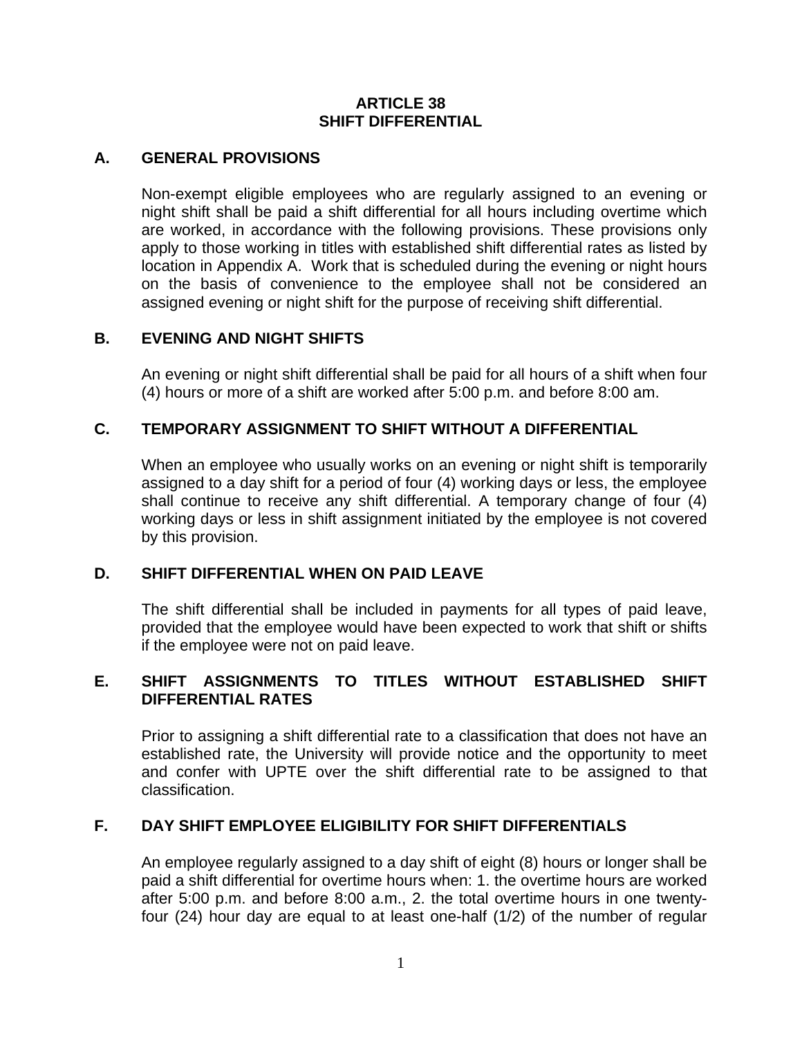#### **ARTICLE 38 SHIFT DIFFERENTIAL**

### **A. GENERAL PROVISIONS**

Non-exempt eligible employees who are regularly assigned to an evening or night shift shall be paid a shift differential for all hours including overtime which are worked, in accordance with the following provisions. These provisions only apply to those working in titles with established shift differential rates as listed by location in Appendix A. Work that is scheduled during the evening or night hours on the basis of convenience to the employee shall not be considered an assigned evening or night shift for the purpose of receiving shift differential.

## **B. EVENING AND NIGHT SHIFTS**

An evening or night shift differential shall be paid for all hours of a shift when four (4) hours or more of a shift are worked after 5:00 p.m. and before 8:00 am.

## **C. TEMPORARY ASSIGNMENT TO SHIFT WITHOUT A DIFFERENTIAL**

When an employee who usually works on an evening or night shift is temporarily assigned to a day shift for a period of four (4) working days or less, the employee shall continue to receive any shift differential. A temporary change of four (4) working days or less in shift assignment initiated by the employee is not covered by this provision.

### **D. SHIFT DIFFERENTIAL WHEN ON PAID LEAVE**

The shift differential shall be included in payments for all types of paid leave, provided that the employee would have been expected to work that shift or shifts if the employee were not on paid leave.

## **E. SHIFT ASSIGNMENTS TO TITLES WITHOUT ESTABLISHED SHIFT DIFFERENTIAL RATES**

Prior to assigning a shift differential rate to a classification that does not have an established rate, the University will provide notice and the opportunity to meet and confer with UPTE over the shift differential rate to be assigned to that classification.

### **F. DAY SHIFT EMPLOYEE ELIGIBILITY FOR SHIFT DIFFERENTIALS**

An employee regularly assigned to a day shift of eight (8) hours or longer shall be paid a shift differential for overtime hours when: 1. the overtime hours are worked after 5:00 p.m. and before 8:00 a.m., 2. the total overtime hours in one twentyfour (24) hour day are equal to at least one-half (1/2) of the number of regular